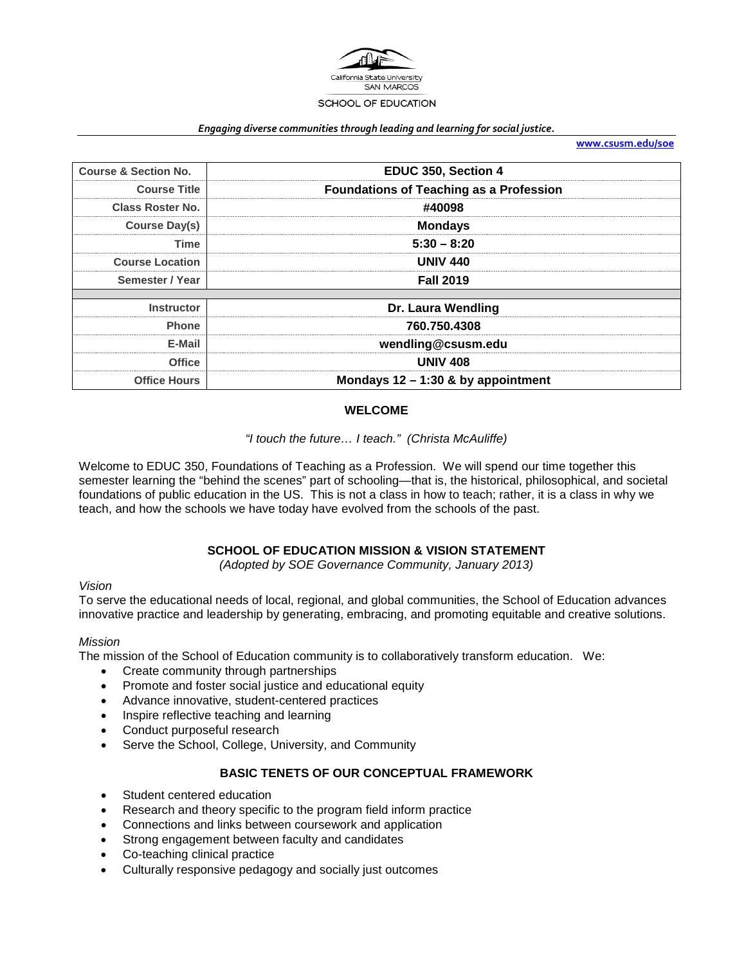

#### *Engaging diverse communities through leading and learning for social justice.*

**[www.csusm.edu/soe](http://www.csusm.edu/soe)**

| <b>Course &amp; Section No.</b> | EDUC 350, Section 4                            |  |  |
|---------------------------------|------------------------------------------------|--|--|
| <b>Course Title</b>             | <b>Foundations of Teaching as a Profession</b> |  |  |
| <b>Class Roster No.</b>         | #40098                                         |  |  |
| -------<br>Course Day(s)        | <b>Mondays</b>                                 |  |  |
| Time                            | $5:30 - 8:20$                                  |  |  |
| <b>Course Location</b>          | UNIV 440                                       |  |  |
| Semester / Year                 | <b>Fall 2019</b>                               |  |  |
| <b>Instructor</b>               | Dr. Laura Wendling                             |  |  |
| <b>Phone</b>                    | 760.750.4308                                   |  |  |
| E-Mail                          |                                                |  |  |
|                                 | wendling@csusm.edu                             |  |  |
| Office                          | <b>UNIV 408</b>                                |  |  |
| <b>Office Hours</b>             | Mondays $12 - 1:30$ & by appointment           |  |  |

# **WELCOME**

# *"I touch the future… I teach." (Christa McAuliffe)*

Welcome to EDUC 350, Foundations of Teaching as a Profession. We will spend our time together this semester learning the "behind the scenes" part of schooling—that is, the historical, philosophical, and societal foundations of public education in the US. This is not a class in how to teach; rather, it is a class in why we teach, and how the schools we have today have evolved from the schools of the past.

# **SCHOOL OF EDUCATION MISSION & VISION STATEMENT**

*(Adopted by SOE Governance Community, January 2013)*

### *Vision*

To serve the educational needs of local, regional, and global communities, the School of Education advances innovative practice and leadership by generating, embracing, and promoting equitable and creative solutions.

### *Mission*

The mission of the School of Education community is to collaboratively transform education. We:

- Create community through partnerships
- Promote and foster social justice and educational equity
- Advance innovative, student-centered practices
- Inspire reflective teaching and learning
- Conduct purposeful research
- Serve the School, College, University, and Community

# **BASIC TENETS OF OUR CONCEPTUAL FRAMEWORK**

- Student centered education
- Research and theory specific to the program field inform practice
- Connections and links between coursework and application
- Strong engagement between faculty and candidates
- Co-teaching clinical practice
- Culturally responsive pedagogy and socially just outcomes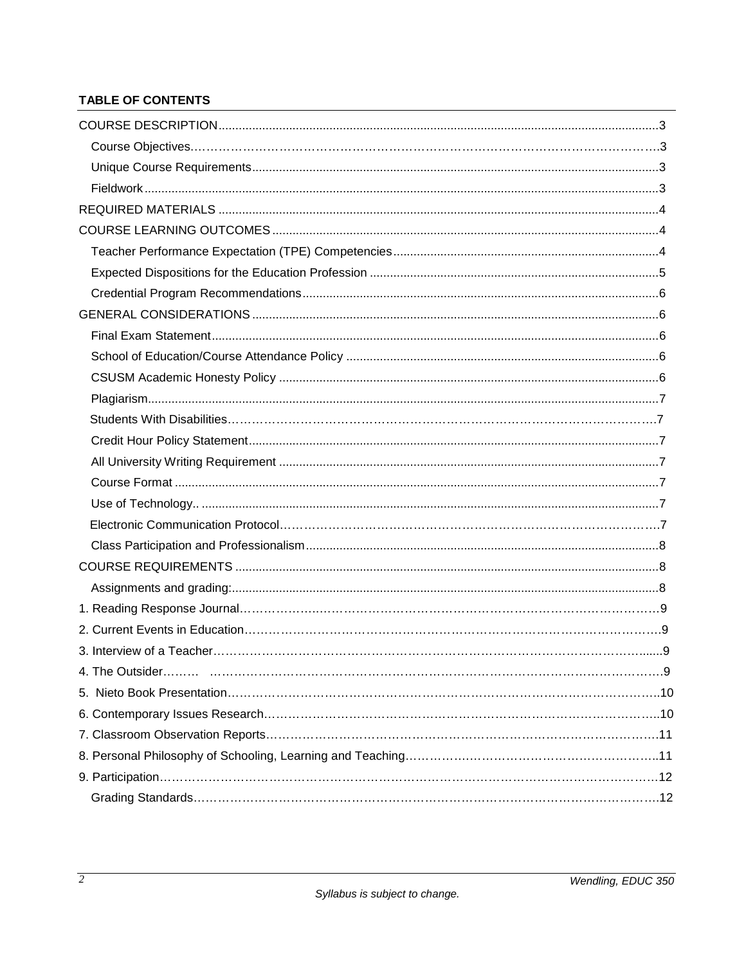# TABLE OF CONTENTS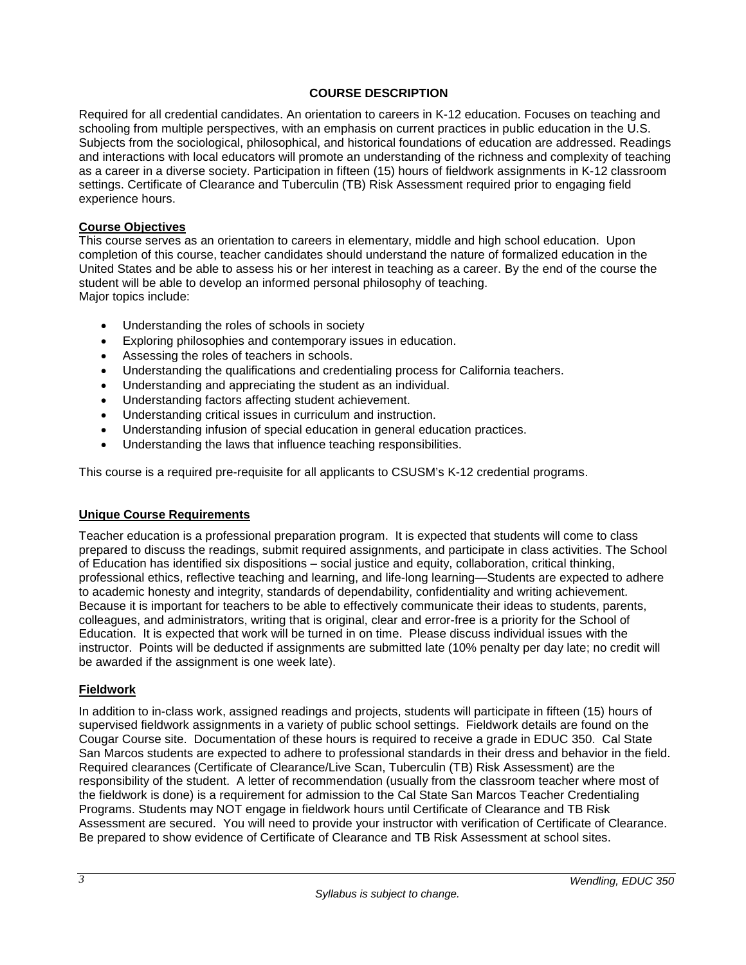# **COURSE DESCRIPTION**

Required for all credential candidates. An orientation to careers in K-12 education. Focuses on teaching and schooling from multiple perspectives, with an emphasis on current practices in public education in the U.S. Subjects from the sociological, philosophical, and historical foundations of education are addressed. Readings and interactions with local educators will promote an understanding of the richness and complexity of teaching as a career in a diverse society. Participation in fifteen (15) hours of fieldwork assignments in K-12 classroom settings. Certificate of Clearance and Tuberculin (TB) Risk Assessment required prior to engaging field experience hours.

### **Course Objectives**

This course serves as an orientation to careers in elementary, middle and high school education. Upon completion of this course, teacher candidates should understand the nature of formalized education in the United States and be able to assess his or her interest in teaching as a career. By the end of the course the student will be able to develop an informed personal philosophy of teaching. Major topics include:

- Understanding the roles of schools in society
- Exploring philosophies and contemporary issues in education.
- Assessing the roles of teachers in schools.
- Understanding the qualifications and credentialing process for California teachers.
- Understanding and appreciating the student as an individual.
- Understanding factors affecting student achievement.
- Understanding critical issues in curriculum and instruction.
- Understanding infusion of special education in general education practices.
- Understanding the laws that influence teaching responsibilities.

This course is a required pre-requisite for all applicants to CSUSM's K-12 credential programs.

### **Unique Course Requirements**

Teacher education is a professional preparation program. It is expected that students will come to class prepared to discuss the readings, submit required assignments, and participate in class activities. The School of Education has identified six dispositions – social justice and equity, collaboration, critical thinking, professional ethics, reflective teaching and learning, and life-long learning—Students are expected to adhere to academic honesty and integrity, standards of dependability, confidentiality and writing achievement. Because it is important for teachers to be able to effectively communicate their ideas to students, parents, colleagues, and administrators, writing that is original, clear and error-free is a priority for the School of Education. It is expected that work will be turned in on time. Please discuss individual issues with the instructor. Points will be deducted if assignments are submitted late (10% penalty per day late; no credit will be awarded if the assignment is one week late).

# **Fieldwork**

In addition to in-class work, assigned readings and projects, students will participate in fifteen (15) hours of supervised fieldwork assignments in a variety of public school settings. Fieldwork details are found on the Cougar Course site. Documentation of these hours is required to receive a grade in EDUC 350. Cal State San Marcos students are expected to adhere to professional standards in their dress and behavior in the field. Required clearances (Certificate of Clearance/Live Scan, Tuberculin (TB) Risk Assessment) are the responsibility of the student. A letter of recommendation (usually from the classroom teacher where most of the fieldwork is done) is a requirement for admission to the Cal State San Marcos Teacher Credentialing Programs. Students may NOT engage in fieldwork hours until Certificate of Clearance and TB Risk Assessment are secured. You will need to provide your instructor with verification of Certificate of Clearance. Be prepared to show evidence of Certificate of Clearance and TB Risk Assessment at school sites.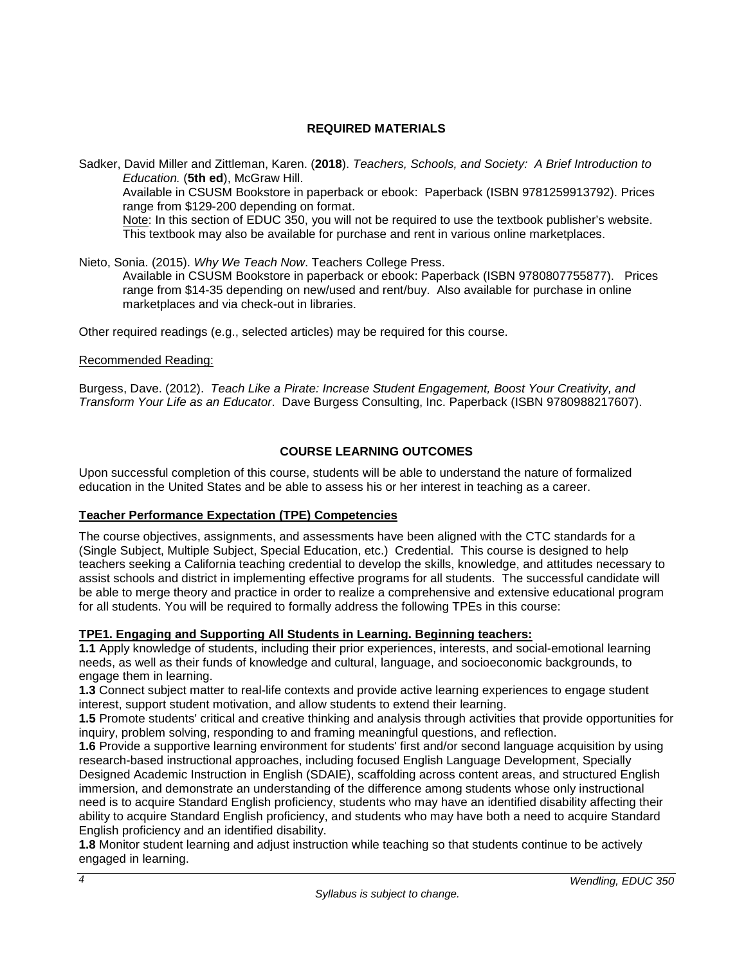# **REQUIRED MATERIALS**

Sadker, David Miller and Zittleman, Karen. (**2018**). *Teachers, Schools, and Society: A Brief Introduction to Education.* (**5th ed**), McGraw Hill. Available in CSUSM Bookstore in paperback or ebook: Paperback (ISBN 9781259913792). Prices range from \$129-200 depending on format. Note: In this section of EDUC 350, you will not be required to use the textbook publisher's website. This textbook may also be available for purchase and rent in various online marketplaces.

### Nieto, Sonia. (2015). *Why We Teach Now*. Teachers College Press.

Available in CSUSM Bookstore in paperback or ebook: Paperback (ISBN 9780807755877). Prices range from \$14-35 depending on new/used and rent/buy. Also available for purchase in online marketplaces and via check-out in libraries.

Other required readings (e.g., selected articles) may be required for this course.

### Recommended Reading:

Burgess, Dave. (2012). *Teach Like a Pirate: Increase Student Engagement, Boost Your Creativity, and Transform Your Life as an Educator*. Dave Burgess Consulting, Inc. Paperback (ISBN 9780988217607).

# **COURSE LEARNING OUTCOMES**

Upon successful completion of this course, students will be able to understand the nature of formalized education in the United States and be able to assess his or her interest in teaching as a career.

# **Teacher Performance Expectation (TPE) Competencies**

The course objectives, assignments, and assessments have been aligned with the CTC standards for a (Single Subject, Multiple Subject, Special Education, etc.) Credential. This course is designed to help teachers seeking a California teaching credential to develop the skills, knowledge, and attitudes necessary to assist schools and district in implementing effective programs for all students. The successful candidate will be able to merge theory and practice in order to realize a comprehensive and extensive educational program for all students. You will be required to formally address the following TPEs in this course:

### **TPE1. Engaging and Supporting All Students in Learning. Beginning teachers:**

**1.1** Apply knowledge of students, including their prior experiences, interests, and social-emotional learning needs, as well as their funds of knowledge and cultural, language, and socioeconomic backgrounds, to engage them in learning.

**1.3** Connect subject matter to real-life contexts and provide active learning experiences to engage student interest, support student motivation, and allow students to extend their learning.

**1.5** Promote students' critical and creative thinking and analysis through activities that provide opportunities for inquiry, problem solving, responding to and framing meaningful questions, and reflection.

**1.6** Provide a supportive learning environment for students' first and/or second language acquisition by using research-based instructional approaches, including focused English Language Development, Specially Designed Academic Instruction in English (SDAIE), scaffolding across content areas, and structured English immersion, and demonstrate an understanding of the difference among students whose only instructional need is to acquire Standard English proficiency, students who may have an identified disability affecting their ability to acquire Standard English proficiency, and students who may have both a need to acquire Standard English proficiency and an identified disability.

**1.8** Monitor student learning and adjust instruction while teaching so that students continue to be actively engaged in learning.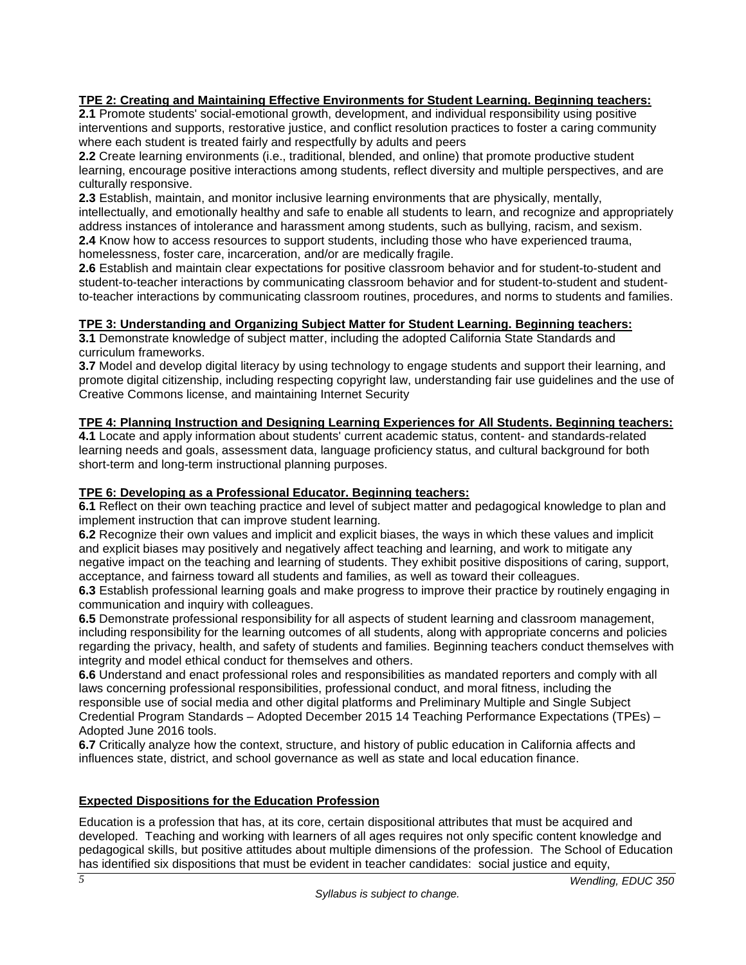# **TPE 2: Creating and Maintaining Effective Environments for Student Learning. Beginning teachers:**

**2.1** Promote students' social-emotional growth, development, and individual responsibility using positive interventions and supports, restorative justice, and conflict resolution practices to foster a caring community where each student is treated fairly and respectfully by adults and peers

**2.2** Create learning environments (i.e., traditional, blended, and online) that promote productive student learning, encourage positive interactions among students, reflect diversity and multiple perspectives, and are culturally responsive.

**2.3** Establish, maintain, and monitor inclusive learning environments that are physically, mentally, intellectually, and emotionally healthy and safe to enable all students to learn, and recognize and appropriately address instances of intolerance and harassment among students, such as bullying, racism, and sexism. **2.4** Know how to access resources to support students, including those who have experienced trauma,

homelessness, foster care, incarceration, and/or are medically fragile.

**2.6** Establish and maintain clear expectations for positive classroom behavior and for student-to-student and student-to-teacher interactions by communicating classroom behavior and for student-to-student and studentto-teacher interactions by communicating classroom routines, procedures, and norms to students and families.

# **TPE 3: Understanding and Organizing Subject Matter for Student Learning. Beginning teachers:**

**3.1** Demonstrate knowledge of subject matter, including the adopted California State Standards and curriculum frameworks.

**3.7** Model and develop digital literacy by using technology to engage students and support their learning, and promote digital citizenship, including respecting copyright law, understanding fair use guidelines and the use of Creative Commons license, and maintaining Internet Security

# **TPE 4: Planning Instruction and Designing Learning Experiences for All Students. Beginning teachers:**

**4.1** Locate and apply information about students' current academic status, content- and standards-related learning needs and goals, assessment data, language proficiency status, and cultural background for both short-term and long-term instructional planning purposes.

# **TPE 6: Developing as a Professional Educator. Beginning teachers:**

**6.1** Reflect on their own teaching practice and level of subject matter and pedagogical knowledge to plan and implement instruction that can improve student learning.

**6.2** Recognize their own values and implicit and explicit biases, the ways in which these values and implicit and explicit biases may positively and negatively affect teaching and learning, and work to mitigate any negative impact on the teaching and learning of students. They exhibit positive dispositions of caring, support, acceptance, and fairness toward all students and families, as well as toward their colleagues.

**6.3** Establish professional learning goals and make progress to improve their practice by routinely engaging in communication and inquiry with colleagues.

**6.5** Demonstrate professional responsibility for all aspects of student learning and classroom management, including responsibility for the learning outcomes of all students, along with appropriate concerns and policies regarding the privacy, health, and safety of students and families. Beginning teachers conduct themselves with integrity and model ethical conduct for themselves and others.

**6.6** Understand and enact professional roles and responsibilities as mandated reporters and comply with all laws concerning professional responsibilities, professional conduct, and moral fitness, including the responsible use of social media and other digital platforms and Preliminary Multiple and Single Subject Credential Program Standards – Adopted December 2015 14 Teaching Performance Expectations (TPEs) – Adopted June 2016 tools.

**6.7** Critically analyze how the context, structure, and history of public education in California affects and influences state, district, and school governance as well as state and local education finance.

# **Expected Dispositions for the Education Profession**

Education is a profession that has, at its core, certain dispositional attributes that must be acquired and developed. Teaching and working with learners of all ages requires not only specific content knowledge and pedagogical skills, but positive attitudes about multiple dimensions of the profession. The School of Education has identified six dispositions that must be evident in teacher candidates: social justice and equity,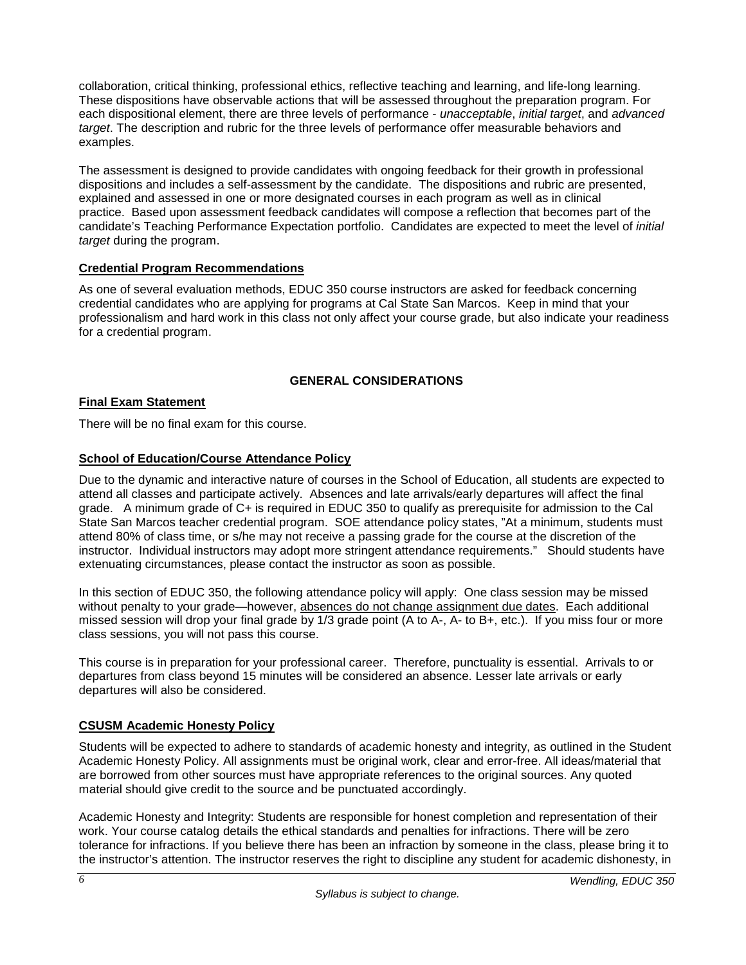collaboration, critical thinking, professional ethics, reflective teaching and learning, and life-long learning. These dispositions have observable actions that will be assessed throughout the preparation program. For each dispositional element, there are three levels of performance - *unacceptable*, *initial target*, and *advanced target*. The description and rubric for the three levels of performance offer measurable behaviors and examples.

The assessment is designed to provide candidates with ongoing feedback for their growth in professional dispositions and includes a self-assessment by the candidate. The dispositions and rubric are presented, explained and assessed in one or more designated courses in each program as well as in clinical practice. Based upon assessment feedback candidates will compose a reflection that becomes part of the candidate's Teaching Performance Expectation portfolio. Candidates are expected to meet the level of *initial target* during the program.

# **Credential Program Recommendations**

As one of several evaluation methods, EDUC 350 course instructors are asked for feedback concerning credential candidates who are applying for programs at Cal State San Marcos. Keep in mind that your professionalism and hard work in this class not only affect your course grade, but also indicate your readiness for a credential program.

# **GENERAL CONSIDERATIONS**

# **Final Exam Statement**

There will be no final exam for this course.

# **School of Education/Course Attendance Policy**

Due to the dynamic and interactive nature of courses in the School of Education, all students are expected to attend all classes and participate actively. Absences and late arrivals/early departures will affect the final grade. A minimum grade of C+ is required in EDUC 350 to qualify as prerequisite for admission to the Cal State San Marcos teacher credential program. SOE attendance policy states, "At a minimum, students must attend 80% of class time, or s/he may not receive a passing grade for the course at the discretion of the instructor. Individual instructors may adopt more stringent attendance requirements." Should students have extenuating circumstances, please contact the instructor as soon as possible.

In this section of EDUC 350, the following attendance policy will apply: One class session may be missed without penalty to your grade—however, absences do not change assignment due dates. Each additional missed session will drop your final grade by 1/3 grade point (A to A-, A- to B+, etc.). If you miss four or more class sessions, you will not pass this course.

This course is in preparation for your professional career. Therefore, punctuality is essential. Arrivals to or departures from class beyond 15 minutes will be considered an absence. Lesser late arrivals or early departures will also be considered.

# **CSUSM Academic Honesty Policy**

Students will be expected to adhere to standards of academic honesty and integrity, as outlined in the Student Academic Honesty Policy. All assignments must be original work, clear and error-free. All ideas/material that are borrowed from other sources must have appropriate references to the original sources. Any quoted material should give credit to the source and be punctuated accordingly.

Academic Honesty and Integrity: Students are responsible for honest completion and representation of their work. Your course catalog details the ethical standards and penalties for infractions. There will be zero tolerance for infractions. If you believe there has been an infraction by someone in the class, please bring it to the instructor's attention. The instructor reserves the right to discipline any student for academic dishonesty, in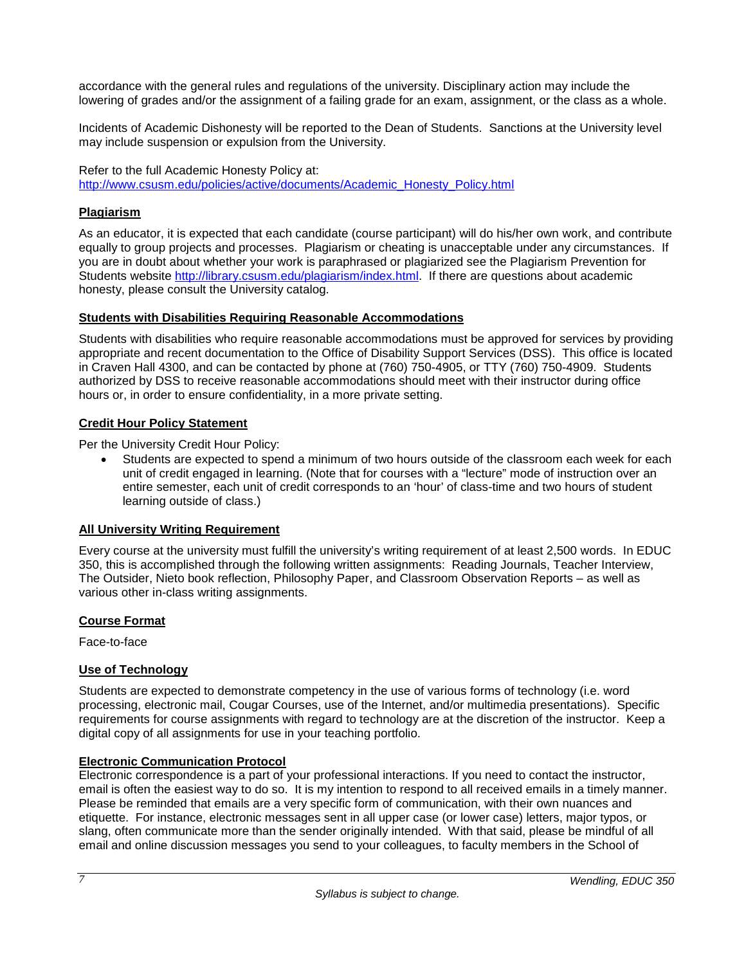accordance with the general rules and regulations of the university. Disciplinary action may include the lowering of grades and/or the assignment of a failing grade for an exam, assignment, or the class as a whole.

Incidents of Academic Dishonesty will be reported to the Dean of Students. Sanctions at the University level may include suspension or expulsion from the University.

Refer to the full Academic Honesty Policy at: [http://www.csusm.edu/policies/active/documents/Academic\\_Honesty\\_Policy.html](http://www.csusm.edu/policies/active/documents/Academic_Honesty_Policy.html)

# **Plagiarism**

As an educator, it is expected that each candidate (course participant) will do his/her own work, and contribute equally to group projects and processes. Plagiarism or cheating is unacceptable under any circumstances. If you are in doubt about whether your work is paraphrased or plagiarized see the Plagiarism Prevention for Students website [http://library.csusm.edu/plagiarism/index.html.](http://library.csusm.edu/plagiarism/index.html) If there are questions about academic honesty, please consult the University catalog.

### **Students with Disabilities Requiring Reasonable Accommodations**

Students with disabilities who require reasonable accommodations must be approved for services by providing appropriate and recent documentation to the Office of Disability Support Services (DSS). This office is located in Craven Hall 4300, and can be contacted by phone at (760) 750-4905, or TTY (760) 750-4909. Students authorized by DSS to receive reasonable accommodations should meet with their instructor during office hours or, in order to ensure confidentiality, in a more private setting.

### **Credit Hour Policy Statement**

Per the University Credit Hour Policy:

Students are expected to spend a minimum of two hours outside of the classroom each week for each unit of credit engaged in learning. (Note that for courses with a "lecture" mode of instruction over an entire semester, each unit of credit corresponds to an 'hour' of class-time and two hours of student learning outside of class.)

# **All University Writing Requirement**

Every course at the university must fulfill the university's writing requirement of at least 2,500 words. In EDUC 350, this is accomplished through the following written assignments: Reading Journals, Teacher Interview, The Outsider, Nieto book reflection, Philosophy Paper, and Classroom Observation Reports – as well as various other in-class writing assignments.

### **Course Format**

Face-to-face

# **Use of Technology**

Students are expected to demonstrate competency in the use of various forms of technology (i.e. word processing, electronic mail, Cougar Courses, use of the Internet, and/or multimedia presentations). Specific requirements for course assignments with regard to technology are at the discretion of the instructor. Keep a digital copy of all assignments for use in your teaching portfolio.

### **Electronic Communication Protocol**

Electronic correspondence is a part of your professional interactions. If you need to contact the instructor, email is often the easiest way to do so. It is my intention to respond to all received emails in a timely manner. Please be reminded that emails are a very specific form of communication, with their own nuances and etiquette. For instance, electronic messages sent in all upper case (or lower case) letters, major typos, or slang, often communicate more than the sender originally intended. With that said, please be mindful of all email and online discussion messages you send to your colleagues, to faculty members in the School of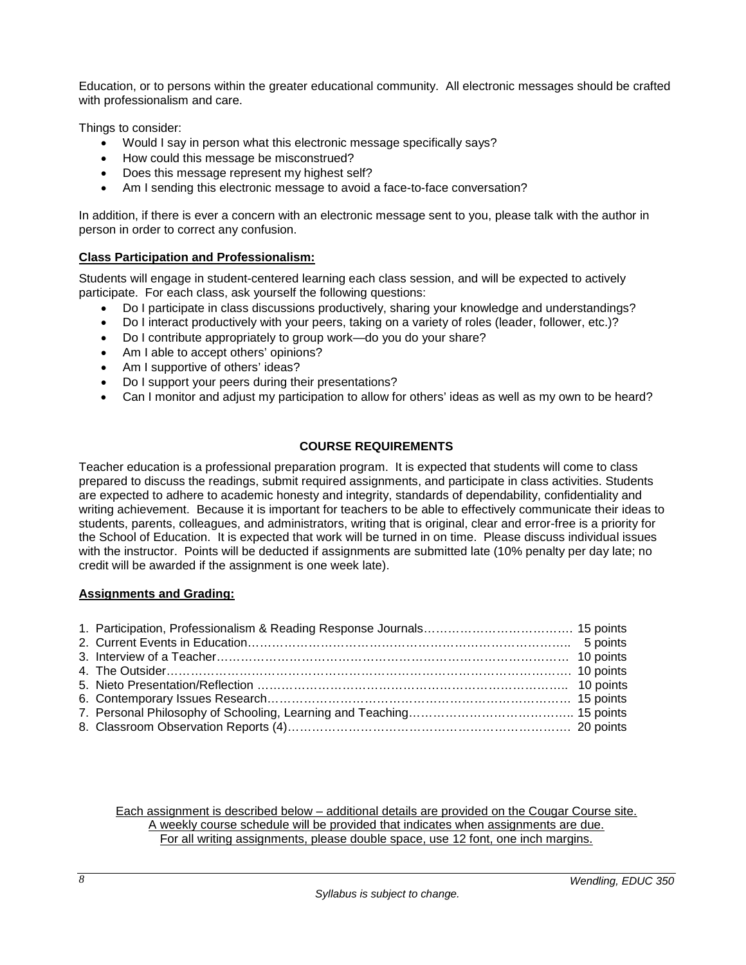Education, or to persons within the greater educational community. All electronic messages should be crafted with professionalism and care.

Things to consider:

- Would I say in person what this electronic message specifically says?
- How could this message be misconstrued?
- Does this message represent my highest self?
- Am I sending this electronic message to avoid a face-to-face conversation?

In addition, if there is ever a concern with an electronic message sent to you, please talk with the author in person in order to correct any confusion.

# **Class Participation and Professionalism:**

Students will engage in student-centered learning each class session, and will be expected to actively participate. For each class, ask yourself the following questions:

- Do I participate in class discussions productively, sharing your knowledge and understandings?
- Do I interact productively with your peers, taking on a variety of roles (leader, follower, etc.)?
- Do I contribute appropriately to group work—do you do your share?
- Am I able to accept others' opinions?
- Am I supportive of others' ideas?
- Do I support your peers during their presentations?
- Can I monitor and adjust my participation to allow for others' ideas as well as my own to be heard?

# **COURSE REQUIREMENTS**

Teacher education is a professional preparation program. It is expected that students will come to class prepared to discuss the readings, submit required assignments, and participate in class activities. Students are expected to adhere to academic honesty and integrity, standards of dependability, confidentiality and writing achievement. Because it is important for teachers to be able to effectively communicate their ideas to students, parents, colleagues, and administrators, writing that is original, clear and error-free is a priority for the School of Education. It is expected that work will be turned in on time. Please discuss individual issues with the instructor. Points will be deducted if assignments are submitted late (10% penalty per day late; no credit will be awarded if the assignment is one week late).

# **Assignments and Grading:**

Each assignment is described below – additional details are provided on the Cougar Course site. A weekly course schedule will be provided that indicates when assignments are due. For all writing assignments, please double space, use 12 font, one inch margins.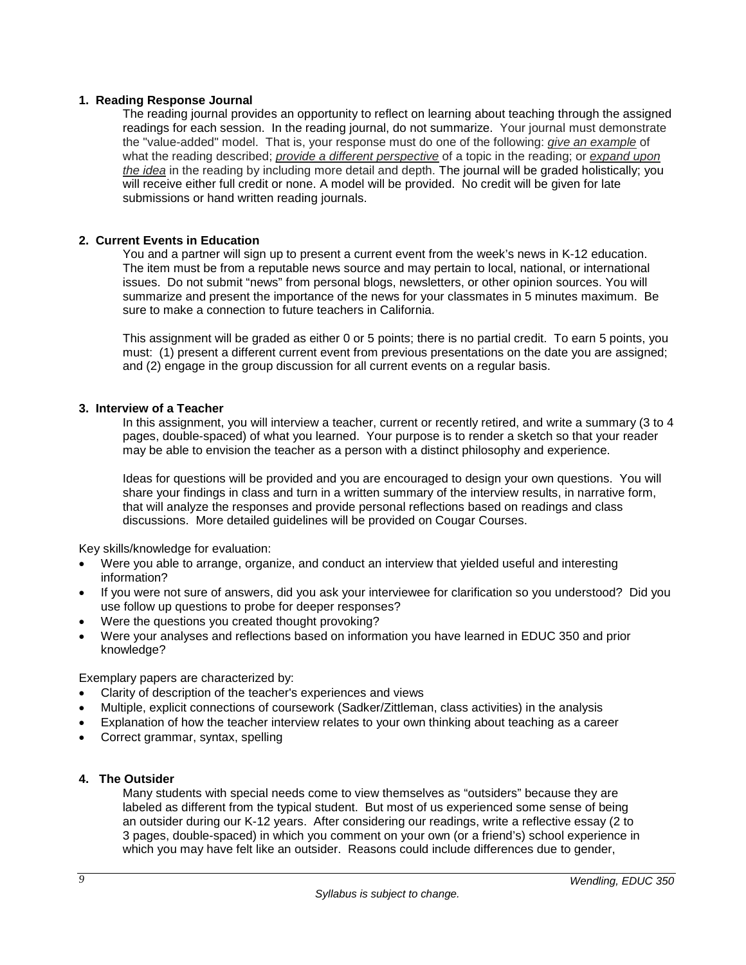### **1. Reading Response Journal**

The reading journal provides an opportunity to reflect on learning about teaching through the assigned readings for each session. In the reading journal, do not summarize. Your journal must demonstrate the "value-added" model. That is, your response must do one of the following: *give an example* of what the reading described; *provide a different perspective* of a topic in the reading; or *expand upon the idea* in the reading by including more detail and depth. The journal will be graded holistically; you will receive either full credit or none. A model will be provided. No credit will be given for late submissions or hand written reading journals.

### **2. Current Events in Education**

You and a partner will sign up to present a current event from the week's news in K-12 education. The item must be from a reputable news source and may pertain to local, national, or international issues. Do not submit "news" from personal blogs, newsletters, or other opinion sources. You will summarize and present the importance of the news for your classmates in 5 minutes maximum. Be sure to make a connection to future teachers in California.

This assignment will be graded as either 0 or 5 points; there is no partial credit. To earn 5 points, you must: (1) present a different current event from previous presentations on the date you are assigned; and (2) engage in the group discussion for all current events on a regular basis.

### **3. Interview of a Teacher**

In this assignment, you will interview a teacher, current or recently retired, and write a summary (3 to 4 pages, double-spaced) of what you learned. Your purpose is to render a sketch so that your reader may be able to envision the teacher as a person with a distinct philosophy and experience.

Ideas for questions will be provided and you are encouraged to design your own questions. You will share your findings in class and turn in a written summary of the interview results, in narrative form, that will analyze the responses and provide personal reflections based on readings and class discussions. More detailed guidelines will be provided on Cougar Courses.

Key skills/knowledge for evaluation:

- Were you able to arrange, organize, and conduct an interview that yielded useful and interesting information?
- If you were not sure of answers, did you ask your interviewee for clarification so you understood? Did you use follow up questions to probe for deeper responses?
- Were the questions you created thought provoking?
- Were your analyses and reflections based on information you have learned in EDUC 350 and prior knowledge?

Exemplary papers are characterized by:

- Clarity of description of the teacher's experiences and views
- Multiple, explicit connections of coursework (Sadker/Zittleman, class activities) in the analysis
- Explanation of how the teacher interview relates to your own thinking about teaching as a career
- Correct grammar, syntax, spelling

#### **4. The Outsider**

Many students with special needs come to view themselves as "outsiders" because they are labeled as different from the typical student. But most of us experienced some sense of being an outsider during our K-12 years. After considering our readings, write a reflective essay (2 to 3 pages, double-spaced) in which you comment on your own (or a friend's) school experience in which you may have felt like an outsider. Reasons could include differences due to gender,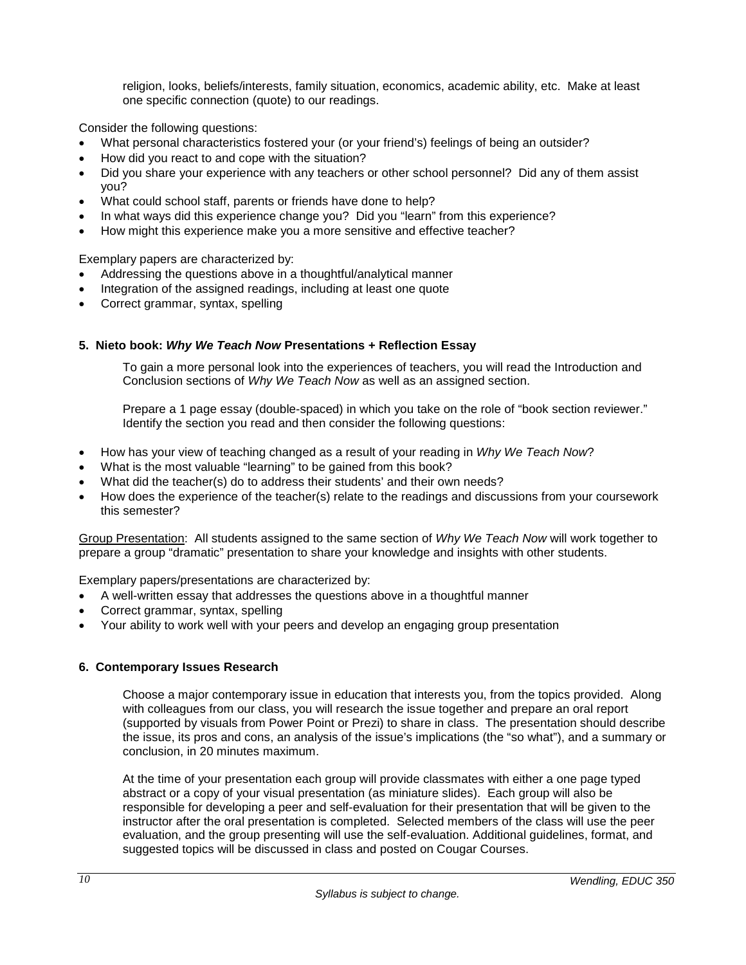religion, looks, beliefs/interests, family situation, economics, academic ability, etc. Make at least one specific connection (quote) to our readings.

Consider the following questions:

- What personal characteristics fostered your (or your friend's) feelings of being an outsider?
- How did you react to and cope with the situation?
- Did you share your experience with any teachers or other school personnel? Did any of them assist you?
- What could school staff, parents or friends have done to help?
- In what ways did this experience change you? Did you "learn" from this experience?
- How might this experience make you a more sensitive and effective teacher?

Exemplary papers are characterized by:

- Addressing the questions above in a thoughtful/analytical manner
- Integration of the assigned readings, including at least one quote
- Correct grammar, syntax, spelling

### **5. Nieto book:** *Why We Teach Now* **Presentations + Reflection Essay**

To gain a more personal look into the experiences of teachers, you will read the Introduction and Conclusion sections of *Why We Teach Now* as well as an assigned section.

Prepare a 1 page essay (double-spaced) in which you take on the role of "book section reviewer." Identify the section you read and then consider the following questions:

- How has your view of teaching changed as a result of your reading in *Why We Teach Now*?
- What is the most valuable "learning" to be gained from this book?
- What did the teacher(s) do to address their students' and their own needs?
- How does the experience of the teacher(s) relate to the readings and discussions from your coursework this semester?

Group Presentation: All students assigned to the same section of *Why We Teach Now* will work together to prepare a group "dramatic" presentation to share your knowledge and insights with other students.

Exemplary papers/presentations are characterized by:

- A well-written essay that addresses the questions above in a thoughtful manner
- Correct grammar, syntax, spelling
- Your ability to work well with your peers and develop an engaging group presentation

# **6. Contemporary Issues Research**

Choose a major contemporary issue in education that interests you, from the topics provided. Along with colleagues from our class, you will research the issue together and prepare an oral report (supported by visuals from Power Point or Prezi) to share in class. The presentation should describe the issue, its pros and cons, an analysis of the issue's implications (the "so what"), and a summary or conclusion, in 20 minutes maximum.

At the time of your presentation each group will provide classmates with either a one page typed abstract or a copy of your visual presentation (as miniature slides). Each group will also be responsible for developing a peer and self-evaluation for their presentation that will be given to the instructor after the oral presentation is completed. Selected members of the class will use the peer evaluation, and the group presenting will use the self-evaluation. Additional guidelines, format, and suggested topics will be discussed in class and posted on Cougar Courses.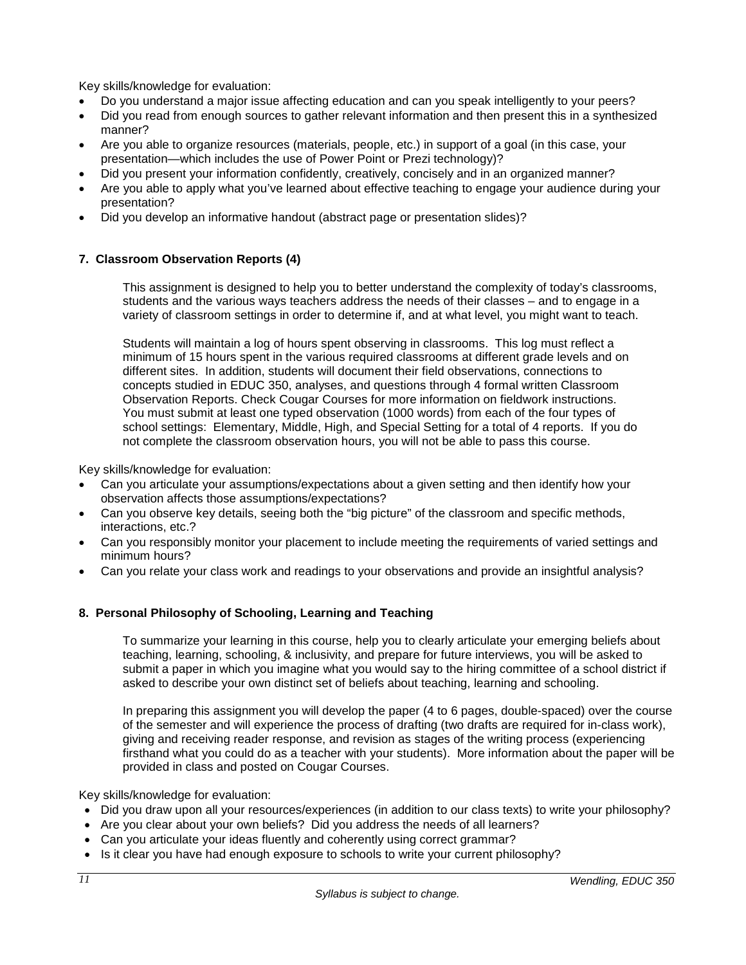Key skills/knowledge for evaluation:

- Do you understand a major issue affecting education and can you speak intelligently to your peers?
- Did you read from enough sources to gather relevant information and then present this in a synthesized manner?
- Are you able to organize resources (materials, people, etc.) in support of a goal (in this case, your presentation—which includes the use of Power Point or Prezi technology)?
- Did you present your information confidently, creatively, concisely and in an organized manner?
- Are you able to apply what you've learned about effective teaching to engage your audience during your presentation?
- Did you develop an informative handout (abstract page or presentation slides)?

# **7. Classroom Observation Reports (4)**

This assignment is designed to help you to better understand the complexity of today's classrooms, students and the various ways teachers address the needs of their classes – and to engage in a variety of classroom settings in order to determine if, and at what level, you might want to teach.

Students will maintain a log of hours spent observing in classrooms. This log must reflect a minimum of 15 hours spent in the various required classrooms at different grade levels and on different sites. In addition, students will document their field observations, connections to concepts studied in EDUC 350, analyses, and questions through 4 formal written Classroom Observation Reports. Check Cougar Courses for more information on fieldwork instructions. You must submit at least one typed observation (1000 words) from each of the four types of school settings: Elementary, Middle, High, and Special Setting for a total of 4 reports. If you do not complete the classroom observation hours, you will not be able to pass this course.

Key skills/knowledge for evaluation:

- Can you articulate your assumptions/expectations about a given setting and then identify how your observation affects those assumptions/expectations?
- Can you observe key details, seeing both the "big picture" of the classroom and specific methods, interactions, etc.?
- Can you responsibly monitor your placement to include meeting the requirements of varied settings and minimum hours?
- Can you relate your class work and readings to your observations and provide an insightful analysis?

# **8. Personal Philosophy of Schooling, Learning and Teaching**

To summarize your learning in this course, help you to clearly articulate your emerging beliefs about teaching, learning, schooling, & inclusivity, and prepare for future interviews, you will be asked to submit a paper in which you imagine what you would say to the hiring committee of a school district if asked to describe your own distinct set of beliefs about teaching, learning and schooling.

In preparing this assignment you will develop the paper (4 to 6 pages, double-spaced) over the course of the semester and will experience the process of drafting (two drafts are required for in-class work), giving and receiving reader response, and revision as stages of the writing process (experiencing firsthand what you could do as a teacher with your students). More information about the paper will be provided in class and posted on Cougar Courses.

Key skills/knowledge for evaluation:

- Did you draw upon all your resources/experiences (in addition to our class texts) to write your philosophy?
- Are you clear about your own beliefs? Did you address the needs of all learners?
- Can you articulate your ideas fluently and coherently using correct grammar?
- Is it clear you have had enough exposure to schools to write your current philosophy?